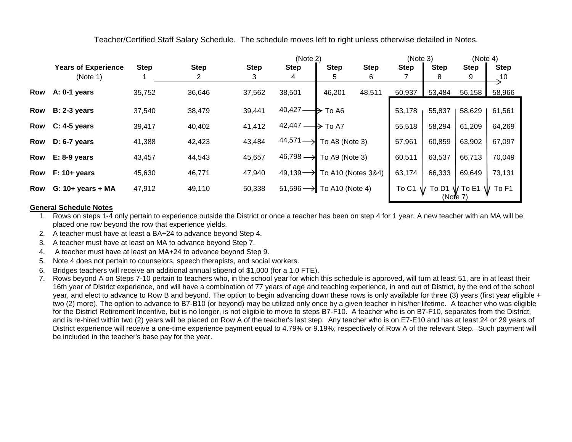Teacher/Certified Staff Salary Schedule. The schedule moves left to right unless otherwise detailed in Notes.

|            |                            |             |             | (Note 2)    |                      |                                      |             | (Note 3)    |             | (Note 4)        |                             |
|------------|----------------------------|-------------|-------------|-------------|----------------------|--------------------------------------|-------------|-------------|-------------|-----------------|-----------------------------|
|            | <b>Years of Experience</b> | <b>Step</b> | <b>Step</b> | <b>Step</b> | <b>Step</b>          | <b>Step</b>                          | <b>Step</b> | <b>Step</b> | <b>Step</b> | <b>Step</b>     | <b>Step</b>                 |
|            | (Note 1)                   |             |             | 3           | 4                    | 5                                    | 6           |             | 8           | 9               | $\overline{\phantom{0}}$ 10 |
| <b>Row</b> | A: $0-1$ years             | 35,752      | 36,646      | 37,562      | 38,501               | 46,201                               | 48,511      | 50,937      | 53,484      | 56,158          | 58,966                      |
| <b>Row</b> | $B: 2-3$ years             | 37,540      | 38,479      | 39,441      | 40,427               | To A6<br>₿                           |             | 53,178      | 55,837      | 58,629          | 61,561                      |
| Row        | $C: 4-5$ years             | 39,417      | 40,402      | 41,412      | $42,447-$            | To A7<br>$\rightarrow$               |             | 55,518      | 58,294      | 61,209          | 64,269                      |
| <b>Row</b> | $D: 6-7$ years             | 41,388      | 42,423      | 43,484      | 44,571               | To A8 (Note 3)                       |             | 57,961      | 60,859      | 63,902          | 67,097                      |
| Row        | $E: 8-9$ years             | 43,457      | 44,543      | 45,657      | $46,798 \rightarrow$ | To A9 (Note 3)                       |             | 60,511      | 63,537      | 66,713          | 70,049                      |
| <b>Row</b> | $F: 10+ years$             | 45,630      | 46,771      | 47,940      | $49,139 -$           | To A10 (Notes 3&4)                   |             | 63,174      | 66,333      | 69,649          | 73,131                      |
| <b>Row</b> | $G: 10+ years + MA$        | 47,912      | 49,110      | 50,338      |                      | $51,596 \rightarrow$ To A10 (Note 4) |             | To C1       | To D1       | $\sqrt{}$ To E1 | To F1                       |
|            |                            |             |             |             |                      |                                      |             | (Note 7)    |             |                 |                             |

## **General Schedule Notes**

1. Rows on steps 1-4 only pertain to experience outside the District or once a teacher has been on step 4 for 1 year. A new teacher with an MA will be placed one row beyond the row that experience yields.

2. A teacher must have at least a BA+24 to advance beyond Step 4.

3. A teacher must have at least an MA to advance beyond Step 7.

4. A teacher must have at least an MA+24 to advance beyond Step 9.

5. Note 4 does not pertain to counselors, speech therapists, and social workers.

6. Bridges teachers will receive an additional annual stipend of \$1,000 (for a 1.0 FTE).

7. Rows beyond A on Steps 7-10 pertain to teachers who, in the school year for which this schedule is approved, will turn at least 51, are in at least their 16th year of District experience, and will have a combination of 77 years of age and teaching experience, in and out of District, by the end of the school year, and elect to advance to Row B and beyond. The option to begin advancing down these rows is only available for three (3) years (first year eligible + two (2) more). The option to advance to B7-B10 (or beyond) may be utilized only once by a given teacher in his/her lifetime. A teacher who was eligible for the District Retirement Incentive, but is no longer, is not eligible to move to steps B7-F10. A teacher who is on B7-F10, separates from the District, and is re-hired within two (2) years will be placed on Row A of the teacher's last step. Any teacher who is on E7-E10 and has at least 24 or 29 years of District experience will receive a one-time experience payment equal to 4.79% or 9.19%, respectively of Row A of the relevant Step. Such payment will be included in the teacher's base pay for the year.